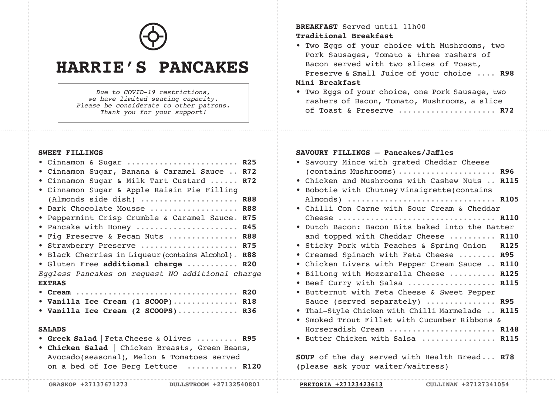

# **HARRIE'S PANCAKES**

*Due to COVID-19 restrictions, we have limited seating capacity. Please be considerate to other patrons. Thank you for your support!*

#### **SWEET FILLINGS**

| • Cinnamon & Sugar  R25<br>• Cinnamon Sugar, Banana & Caramel Sauce  R72<br>• Cinnamon Sugar & Milk Tart Custard  R72<br>• Cinnamon Sugar & Apple Raisin Pie Filling<br>(Almonds side dish)  R88<br>. Dark Chocolate Mousse  R88 |  |
|----------------------------------------------------------------------------------------------------------------------------------------------------------------------------------------------------------------------------------|--|
| • Peppermint Crisp Crumble & Caramel Sauce. R75                                                                                                                                                                                  |  |
| • Pancake with Honey  R45                                                                                                                                                                                                        |  |
| . Fig Preserve & Pecan Nuts  R88                                                                                                                                                                                                 |  |
| · Strawberry Preserve  R75<br>• Black Cherries in Liqueur (contains Alcohol). R88                                                                                                                                                |  |
| · Gluten Free additional charge  R20                                                                                                                                                                                             |  |
| Eggless Pancakes on request NO additional charge                                                                                                                                                                                 |  |
| <b>EXTRAS</b>                                                                                                                                                                                                                    |  |
|                                                                                                                                                                                                                                  |  |
| • Vanilla Ice Cream (1 SCOOP) R18                                                                                                                                                                                                |  |
| • Vanilla Ice Cream (2 SCOOPS) R36                                                                                                                                                                                               |  |
| <b>SALADS</b>                                                                                                                                                                                                                    |  |
| • Greek Salad   Feta Cheese & Olives  R95                                                                                                                                                                                        |  |
| • Chicken Salad   Chicken Breasts, Green Beans,                                                                                                                                                                                  |  |
| Avocado (seasonal), Melon & Tomatoes served                                                                                                                                                                                      |  |

on a bed of Ice Berg Lettuce ........... **R120**

| Traditional Breakfast |                                                                   |  |  |
|-----------------------|-------------------------------------------------------------------|--|--|
|                       | $\pi_{12}$ $\pi_{23}$ $\pi_{34}$ $\pi_{41}$ $\pi_{12}$ $\pi_{13}$ |  |  |

• Two Eggs of your choice with Mushrooms, two Pork Sausages, Tomato & three rashers of Bacon served with two slices of Toast, Preserve & Small Juice of your choice .... **R98**

## **Mini Breakfast**

• Two Eggs of your choice, one Pork Sausage, two rashers of Bacon, Tomato, Mushrooms, a slice of Toast & Preserve ..................... **R72**

### **SAVOURY FILLINGS — Pancakes/Jaffles**

**BREAKFAST** Served until 11h00

|           | • Savoury Mince with grated Cheddar Cheese                   |  |
|-----------|--------------------------------------------------------------|--|
|           | (contains Mushrooms)  R96                                    |  |
|           | . Chicken and Mushrooms with Cashew Nuts  R115               |  |
| $\bullet$ | Bobotie with Chutney Vinaigrette (contains                   |  |
|           | Almonds)  R105                                               |  |
|           | . Chilli Con Carne with Sour Cream & Cheddar                 |  |
|           |                                                              |  |
|           | • Dutch Bacon: Bacon Bits baked into the Batter              |  |
|           | and topped with Cheddar Cheese  R110                         |  |
|           | • Sticky Pork with Peaches & Spring Onion R125               |  |
|           | . Creamed Spinach with Feta Cheese  R95                      |  |
|           | . Chicken Livers with Pepper Cream Sauce  R110               |  |
| $\bullet$ | Biltong with Mozzarella Cheese  R125                         |  |
| $\bullet$ | Beef Curry with Salsa  R115                                  |  |
| $\bullet$ | Butternut with Feta Cheese & Sweet Pepper                    |  |
|           | Sauce (served separately)  R95                               |  |
| $\bullet$ | Thai-Style Chicken with Chilli Marmelade  R115               |  |
| $\bullet$ | Smoked Trout Fillet with Cucumber Ribbons &                  |  |
|           | Horseradish Cream  R148                                      |  |
|           | • Butter Chicken with Salsa  R115                            |  |
|           |                                                              |  |
|           | $A \wedge B$ of the descended with Health Bused $B \wedge B$ |  |

**SOUP** of the day served with Health Bread... **R78 (**please ask your waiter/waitress)